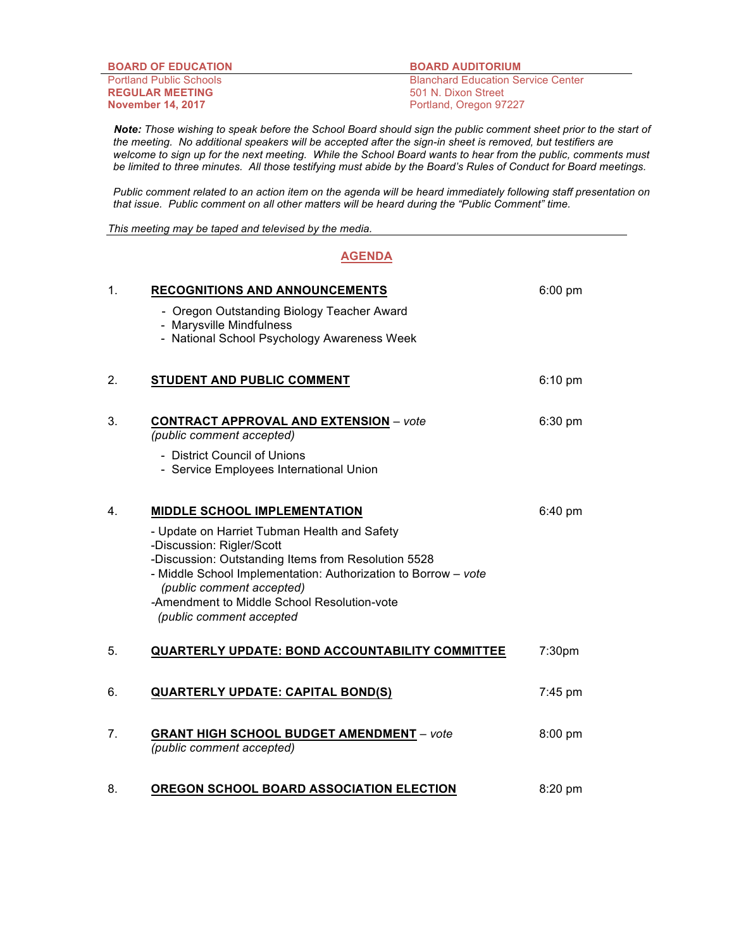| <b>BOARD OF EDUCATION</b>      | <b>BOARD AUDITORIUM</b>                   |
|--------------------------------|-------------------------------------------|
| <b>Portland Public Schools</b> | <b>Blanchard Education Service Center</b> |
| <b>REGULAR MEETING</b>         | 501 N. Dixon Street                       |
| <b>November 14, 2017</b>       | Portland, Oregon 97227                    |

 *Note: Those wishing to speak before the School Board should sign the public comment sheet prior to the start of the meeting. No additional speakers will be accepted after the sign-in sheet is removed, but testifiers are welcome to sign up for the next meeting. While the School Board wants to hear from the public, comments must be limited to three minutes. All those testifying must abide by the Board's Rules of Conduct for Board meetings.*

*Public comment related to an action item on the agenda will be heard immediately following staff presentation on that issue. Public comment on all other matters will be heard during the "Public Comment" time.*

*This meeting may be taped and televised by the media.*

## **AGENDA**

| 1. | <b>RECOGNITIONS AND ANNOUNCEMENTS</b>                                                                                                                                                                                           | $6:00$ pm |
|----|---------------------------------------------------------------------------------------------------------------------------------------------------------------------------------------------------------------------------------|-----------|
|    | - Oregon Outstanding Biology Teacher Award<br>- Marysville Mindfulness                                                                                                                                                          |           |
|    | - National School Psychology Awareness Week                                                                                                                                                                                     |           |
| 2. | STUDENT AND PUBLIC COMMENT                                                                                                                                                                                                      | $6:10$ pm |
| 3. | <b>CONTRACT APPROVAL AND EXTENSION</b> - vote<br>(public comment accepted)                                                                                                                                                      | 6:30 pm   |
|    | - District Council of Unions<br>- Service Employees International Union                                                                                                                                                         |           |
| 4. | <b>MIDDLE SCHOOL IMPLEMENTATION</b>                                                                                                                                                                                             | 6:40 pm   |
|    | - Update on Harriet Tubman Health and Safety<br>-Discussion: Rigler/Scott<br>-Discussion: Outstanding Items from Resolution 5528<br>- Middle School Implementation: Authorization to Borrow - vote<br>(public comment accepted) |           |
|    | -Amendment to Middle School Resolution-vote<br>(public comment accepted                                                                                                                                                         |           |
| 5. | QUARTERLY UPDATE: BOND ACCOUNTABILITY COMMITTEE                                                                                                                                                                                 | 7:30pm    |
| 6. | <b>QUARTERLY UPDATE: CAPITAL BOND(S)</b>                                                                                                                                                                                        | 7:45 pm   |
| 7. | <b>GRANT HIGH SCHOOL BUDGET AMENDMENT - vote</b><br>(public comment accepted)                                                                                                                                                   | $8:00$ pm |
| 8. | OREGON SCHOOL BOARD ASSOCIATION ELECTION                                                                                                                                                                                        | 8:20 pm   |